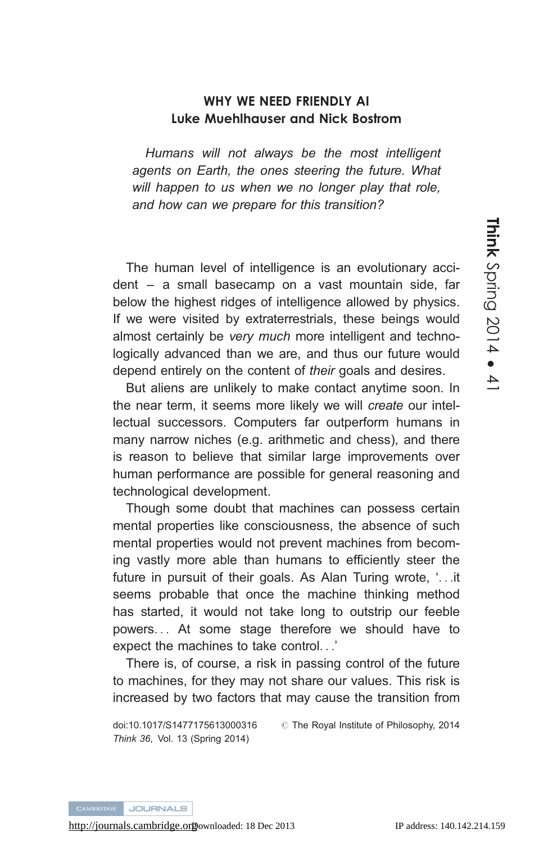## WHY WE NEED FRIENDLY AI Luke Muehlhauser and Nick Bostrom

Humans will not always be the most intelligent agents on Earth, the ones steering the future. What will happen to us when we no longer play that role, and how can we prepare for this transition?

The human level of intelligence is an evolutionary accident – a small basecamp on a vast mountain side, far below the highest ridges of intelligence allowed by physics. If we were visited by extraterrestrials, these beings would almost certainly be very much more intelligent and technologically advanced than we are, and thus our future would depend entirely on the content of their goals and desires.

But aliens are unlikely to make contact anytime soon. In the near term, it seems more likely we will create our intellectual successors. Computers far outperform humans in many narrow niches (e.g. arithmetic and chess), and there is reason to believe that similar large improvements over human performance are possible for general reasoning and technological development.

Though some doubt that machines can possess certain mental properties like consciousness, the absence of such mental properties would not prevent machines from becoming vastly more able than humans to efficiently steer the future in pursuit of their goals. As Alan Turing wrote, '...it seems probable that once the machine thinking method has started, it would not take long to outstrip our feeble powers... At some stage therefore we should have to expect the machines to take control...'

There is, of course, a risk in passing control of the future to machines, for they may not share our values. This risk is increased by two factors that may cause the transition from

doi:10.1017/S1477175613000316 # The Royal Institute of Philosophy, 2014 Think 36, Vol. 13 (Spring 2014)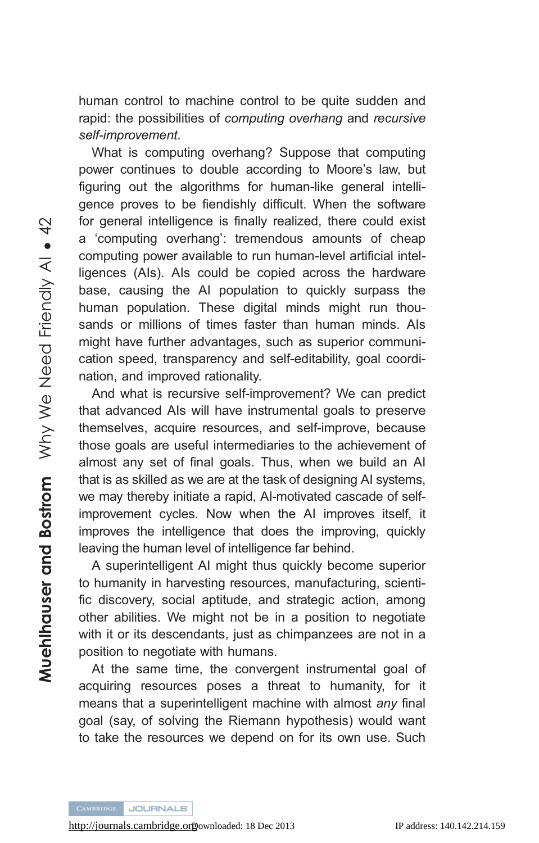human control to machine control to be quite sudden and rapid: the possibilities of computing overhang and recursive self-improvement.

What is computing overhang? Suppose that computing power continues to double according to Moore's law, but figuring out the algorithms for human-like general intelligence proves to be fiendishly difficult. When the software for general intelligence is finally realized, there could exist a 'computing overhang': tremendous amounts of cheap computing power available to run human-level artificial intelligences (AIs). AIs could be copied across the hardware base, causing the AI population to quickly surpass the human population. These digital minds might run thousands or millions of times faster than human minds. AIs might have further advantages, such as superior communication speed, transparency and self-editability, goal coordination, and improved rationality.

And what is recursive self-improvement? We can predict that advanced AIs will have instrumental goals to preserve themselves, acquire resources, and self-improve, because those goals are useful intermediaries to the achievement of almost any set of final goals. Thus, when we build an AI that is as skilled as we are at the task of designing AI systems, we may thereby initiate a rapid, AI-motivated cascade of selfimprovement cycles. Now when the AI improves itself, it improves the intelligence that does the improving, quickly leaving the human level of intelligence far behind.

A superintelligent AI might thus quickly become superior to humanity in harvesting resources, manufacturing, scientific discovery, social aptitude, and strategic action, among other abilities. We might not be in a position to negotiate with it or its descendants, just as chimpanzees are not in a position to negotiate with humans.

At the same time, the convergent instrumental goal of acquiring resources poses a threat to humanity, for it means that a superintelligent machine with almost any final goal (say, of solving the Riemann hypothesis) would want to take the resources we depend on for its own use. Such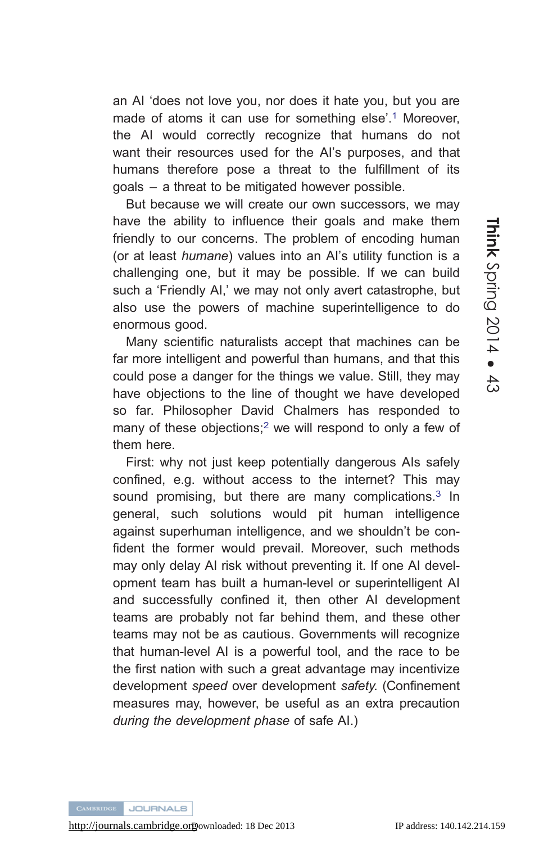an AI 'does not love you, nor does it hate you, but you are made of atoms it can use for something else'.<sup>[1](#page-6-0)</sup> Moreover, the AI would correctly recognize that humans do not want their resources used for the AI's purposes, and that humans therefore pose a threat to the fulfillment of its goals – a threat to be mitigated however possible.

But because we will create our own successors, we may have the ability to influence their goals and make them friendly to our concerns. The problem of encoding human (or at least *humane*) values into an AI's utility function is a challenging one, but it may be possible. If we can build such a 'Friendly AI,' we may not only avert catastrophe, but also use the powers of machine superintelligence to do enormous good.

Many scientific naturalists accept that machines can be far more intelligent and powerful than humans, and that this could pose a danger for the things we value. Still, they may have objections to the line of thought we have developed so far. Philosopher David Chalmers has responded to many of these objections; $2$  we will respond to only a few of them here.

First: why not just keep potentially dangerous AIs safely confined, e.g. without access to the internet? This may sound promising, but there are many complications.<sup>[3](#page-6-0)</sup> In general, such solutions would pit human intelligence against superhuman intelligence, and we shouldn't be confident the former would prevail. Moreover, such methods may only delay AI risk without preventing it. If one AI development team has built a human-level or superintelligent AI and successfully confined it, then other AI development teams are probably not far behind them, and these other teams may not be as cautious. Governments will recognize that human-level AI is a powerful tool, and the race to be the first nation with such a great advantage may incentivize development speed over development safety. (Confinement measures may, however, be useful as an extra precaution during the development phase of safe AI.)

**JOURNALS**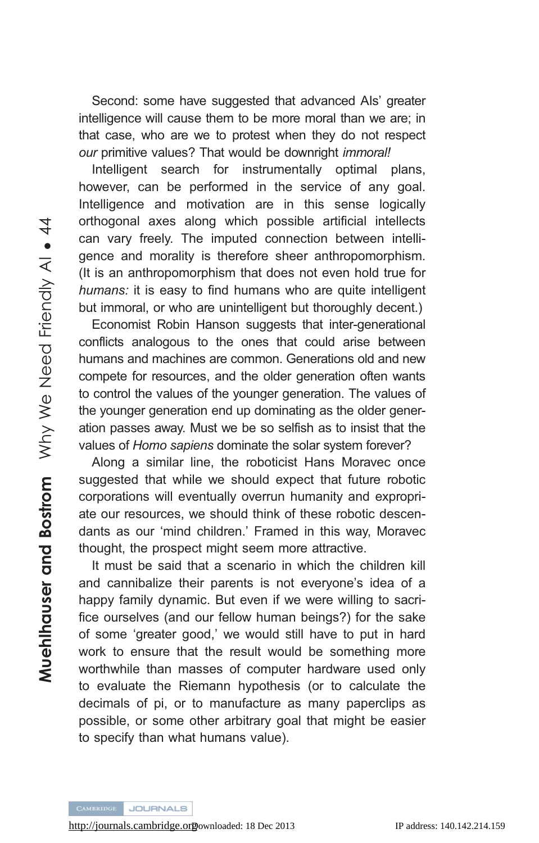Second: some have suggested that advanced AIs' greater intelligence will cause them to be more moral than we are; in that case, who are we to protest when they do not respect our primitive values? That would be downright *immoral!* 

Intelligent search for instrumentally optimal plans, however, can be performed in the service of any goal. Intelligence and motivation are in this sense logically orthogonal axes along which possible artificial intellects can vary freely. The imputed connection between intelligence and morality is therefore sheer anthropomorphism. (It is an anthropomorphism that does not even hold true for humans: it is easy to find humans who are quite intelligent but immoral, or who are unintelligent but thoroughly decent.)

Economist Robin Hanson suggests that inter-generational conflicts analogous to the ones that could arise between humans and machines are common. Generations old and new compete for resources, and the older generation often wants to control the values of the younger generation. The values of the younger generation end up dominating as the older generation passes away. Must we be so selfish as to insist that the values of Homo sapiens dominate the solar system forever?

Along a similar line, the roboticist Hans Moravec once suggested that while we should expect that future robotic corporations will eventually overrun humanity and expropriate our resources, we should think of these robotic descendants as our 'mind children.' Framed in this way, Moravec thought, the prospect might seem more attractive.

It must be said that a scenario in which the children kill and cannibalize their parents is not everyone's idea of a happy family dynamic. But even if we were willing to sacrifice ourselves (and our fellow human beings?) for the sake of some 'greater good,' we would still have to put in hard work to ensure that the result would be something more worthwhile than masses of computer hardware used only to evaluate the Riemann hypothesis (or to calculate the decimals of pi, or to manufacture as many paperclips as possible, or some other arbitrary goal that might be easier to specify than what humans value).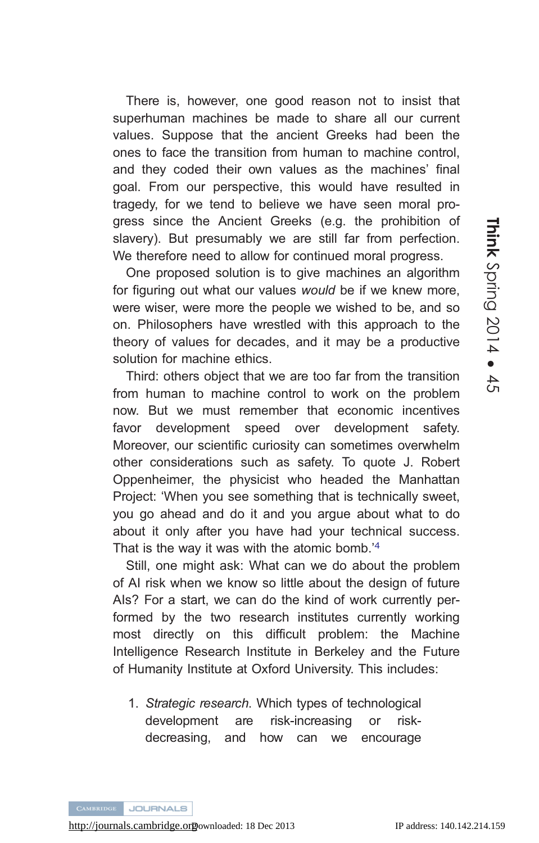There is, however, one good reason not to insist that superhuman machines be made to share all our current values. Suppose that the ancient Greeks had been the ones to face the transition from human to machine control, and they coded their own values as the machines' final goal. From our perspective, this would have resulted in tragedy, for we tend to believe we have seen moral progress since the Ancient Greeks (e.g. the prohibition of slavery). But presumably we are still far from perfection. We therefore need to allow for continued moral progress.

One proposed solution is to give machines an algorithm for figuring out what our values would be if we knew more, were wiser, were more the people we wished to be, and so on. Philosophers have wrestled with this approach to the theory of values for decades, and it may be a productive solution for machine ethics.

Third: others object that we are too far from the transition from human to machine control to work on the problem now. But we must remember that economic incentives favor development speed over development safety. Moreover, our scientific curiosity can sometimes overwhelm other considerations such as safety. To quote J. Robert Oppenheimer, the physicist who headed the Manhattan Project: 'When you see something that is technically sweet, you go ahead and do it and you argue about what to do about it only after you have had your technical success. That is the way it was with the atomic bomb.'[4](#page-6-0)

Still, one might ask: What can we do about the problem of AI risk when we know so little about the design of future AIs? For a start, we can do the kind of work currently performed by the two research institutes currently working most directly on this difficult problem: the Machine Intelligence Research Institute in Berkeley and the Future of Humanity Institute at Oxford University. This includes:

1. Strategic research. Which types of technological development are risk-increasing or riskdecreasing, and how can we encourage

**JOURNALS**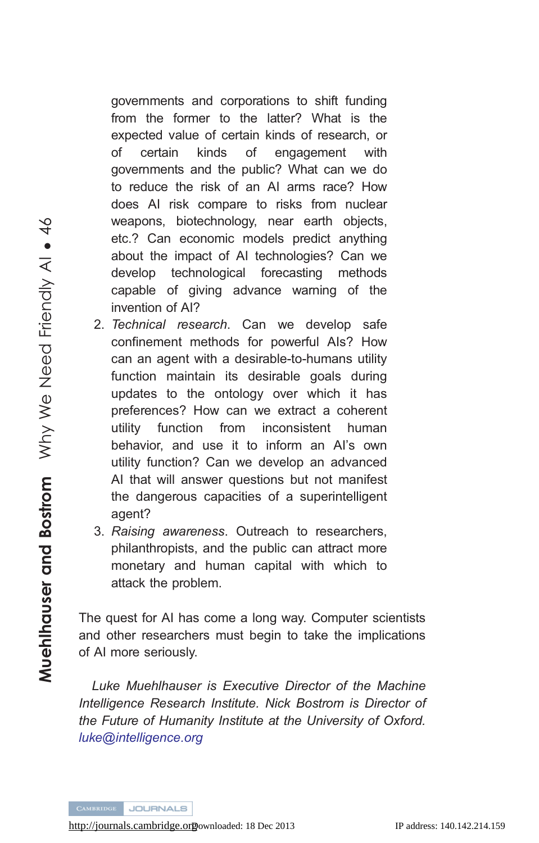governments and corporations to shift funding from the former to the latter? What is the expected value of certain kinds of research, or of certain kinds of engagement with governments and the public? What can we do to reduce the risk of an AI arms race? How does AI risk compare to risks from nuclear weapons, biotechnology, near earth objects, etc.? Can economic models predict anything about the impact of AI technologies? Can we develop technological forecasting methods capable of giving advance warning of the invention of AI?

- 2. Technical research. Can we develop safe confinement methods for powerful AIs? How can an agent with a desirable-to-humans utility function maintain its desirable goals during updates to the ontology over which it has preferences? How can we extract a coherent utility function from inconsistent human behavior, and use it to inform an AI's own utility function? Can we develop an advanced AI that will answer questions but not manifest the dangerous capacities of a superintelligent agent?
- 3. Raising awareness. Outreach to researchers, philanthropists, and the public can attract more monetary and human capital with which to attack the problem.

The quest for AI has come a long way. Computer scientists and other researchers must begin to take the implications of AI more seriously.

Luke Muehlhauser is Executive Director of the Machine Intelligence Research Institute. Nick Bostrom is Director of the Future of Humanity Institute at the University of Oxford. [luke@intelligence.org](mailto:luke@intelligence.org)